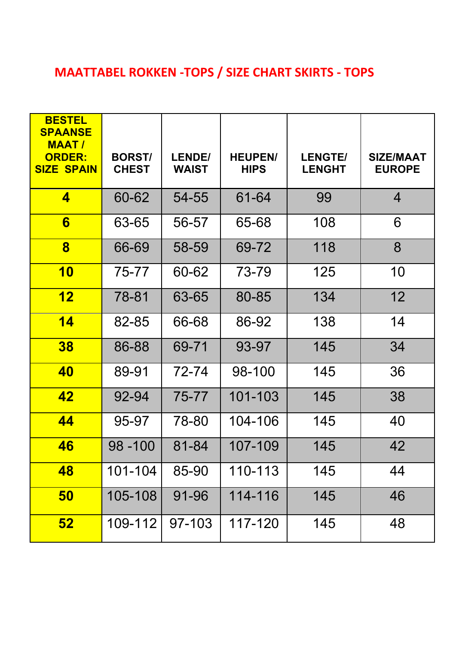## **MAATTABEL ROKKEN -TOPS / SIZE CHART SKIRTS - TOPS**

| <b>BESTEL</b><br><b>SPAANSE</b><br><b>MAAT/</b><br><b>ORDER:</b><br><b>SIZE SPAIN</b> | <b>BORST/</b><br><b>CHEST</b> | <b>LENDE/</b><br><b>WAIST</b> | <b>HEUPEN/</b><br><b>HIPS</b> | <b>LENGTE/</b><br><b>LENGHT</b> | <b>SIZE/MAAT</b><br><b>EUROPE</b> |
|---------------------------------------------------------------------------------------|-------------------------------|-------------------------------|-------------------------------|---------------------------------|-----------------------------------|
| $\overline{\mathbf{4}}$                                                               | 60-62                         | 54-55                         | 61-64                         | 99                              | $\overline{4}$                    |
| 6                                                                                     | 63-65                         | 56-57                         | 65-68                         | 108                             | 6                                 |
| $\bf{8}$                                                                              | 66-69                         | 58-59                         | 69-72                         | 118                             | 8                                 |
| <b>10</b>                                                                             | 75-77                         | 60-62                         | 73-79                         | 125                             | 10                                |
| 12                                                                                    | 78-81                         | 63-65                         | 80-85                         | 134                             | 12                                |
| 14                                                                                    | 82-85                         | 66-68                         | 86-92                         | 138                             | 14                                |
| 38                                                                                    | 86-88                         | 69-71                         | 93-97                         | 145                             | 34                                |
| 40                                                                                    | 89-91                         | 72-74                         | 98-100                        | 145                             | 36                                |
| 42                                                                                    | 92-94                         | 75-77                         | 101-103                       | 145                             | 38                                |
| 44                                                                                    | 95-97                         | 78-80                         | 104-106                       | 145                             | 40                                |
| 46                                                                                    | $98 - 100$                    | 81-84                         | 107-109                       | 145                             | 42                                |
| 48                                                                                    | 101-104                       | 85-90                         | 110-113                       | 145                             | 44                                |
| <b>50</b>                                                                             | 105-108                       | 91-96                         | 114-116                       | 145                             | 46                                |
| 52                                                                                    | 109-112                       | 97-103                        | 117-120                       | 145                             | 48                                |